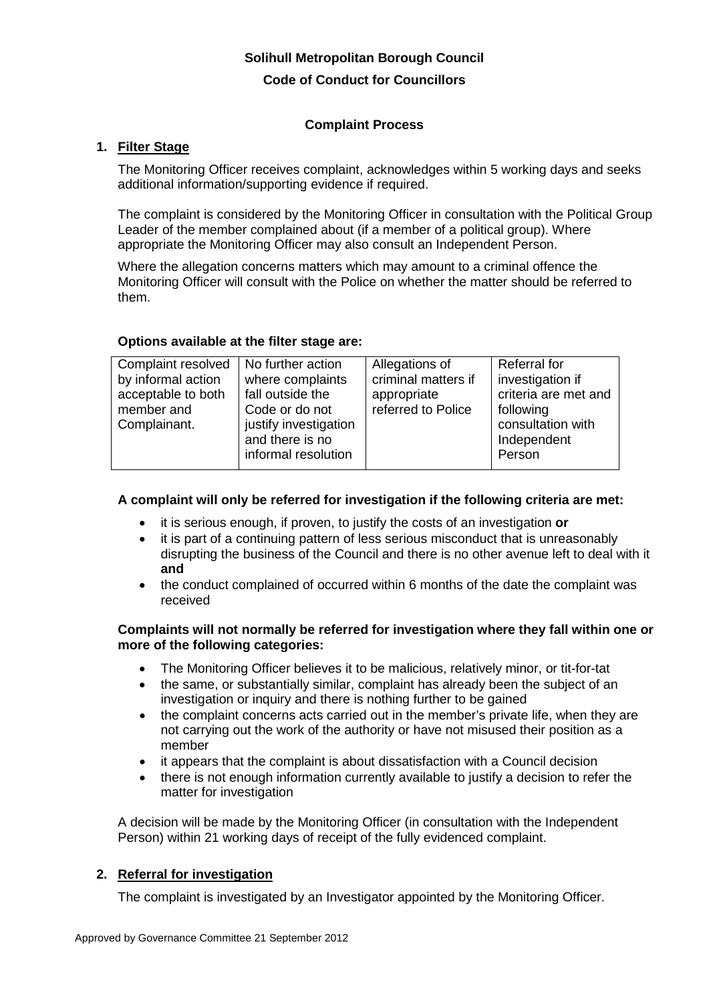# **Solihull Metropolitan Borough Council**

#### **Code of Conduct for Councillors**

# **Complaint Process**

# **1. Filter Stage**

The Monitoring Officer receives complaint, acknowledges within 5 working days and seeks additional information/supporting evidence if required.

The complaint is considered by the Monitoring Officer in consultation with the Political Group Leader of the member complained about (if a member of a political group). Where appropriate the Monitoring Officer may also consult an Independent Person.

Where the allegation concerns matters which may amount to a criminal offence the Monitoring Officer will consult with the Police on whether the matter should be referred to them.

# **Options available at the filter stage are:**

| Complaint resolved | No further action     | Allegations of      | Referral for         |
|--------------------|-----------------------|---------------------|----------------------|
| by informal action | where complaints      | criminal matters if | investigation if     |
| acceptable to both | fall outside the      | appropriate         | criteria are met and |
| member and         | Code or do not        | referred to Police  | following            |
| Complainant.       | justify investigation |                     | consultation with    |
|                    | and there is no       |                     | Independent          |
|                    | informal resolution   |                     | Person               |
|                    |                       |                     |                      |

## **A complaint will only be referred for investigation if the following criteria are met:**

- it is serious enough, if proven, to justify the costs of an investigation **or**
- it is part of a continuing pattern of less serious misconduct that is unreasonably disrupting the business of the Council and there is no other avenue left to deal with it **and**
- the conduct complained of occurred within 6 months of the date the complaint was received

#### **Complaints will not normally be referred for investigation where they fall within one or more of the following categories:**

- The Monitoring Officer believes it to be malicious, relatively minor, or tit-for-tat
- the same, or substantially similar, complaint has already been the subject of an investigation or inquiry and there is nothing further to be gained
- the complaint concerns acts carried out in the member's private life, when they are not carrying out the work of the authority or have not misused their position as a member
- it appears that the complaint is about dissatisfaction with a Council decision
- there is not enough information currently available to justify a decision to refer the matter for investigation

A decision will be made by the Monitoring Officer (in consultation with the Independent Person) within 21 working days of receipt of the fully evidenced complaint.

# **2. Referral for investigation**

The complaint is investigated by an Investigator appointed by the Monitoring Officer.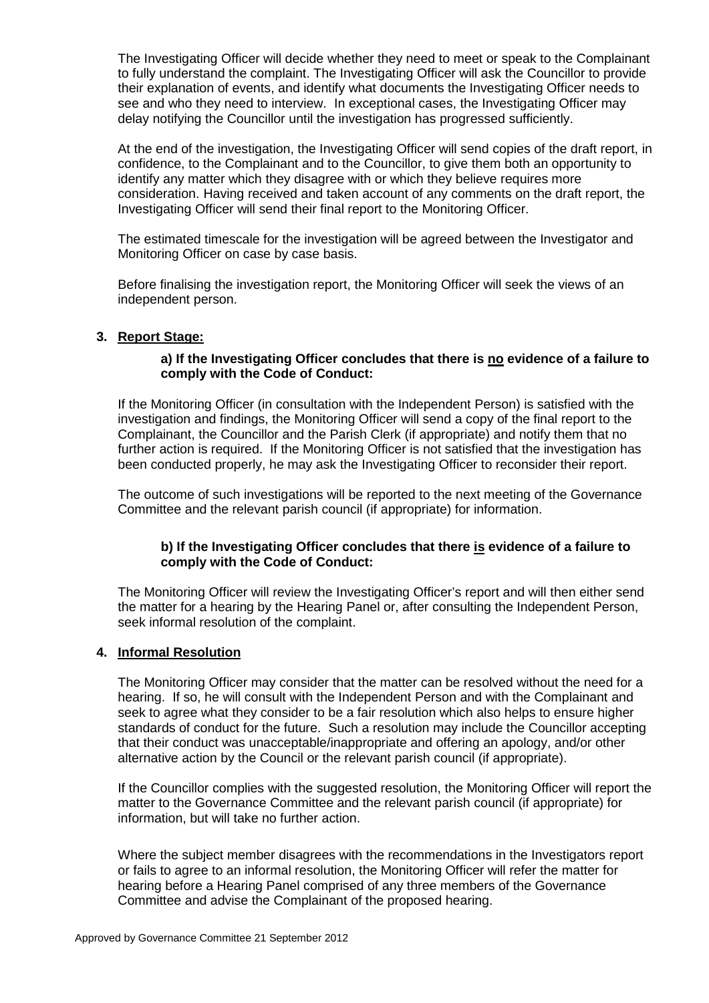The Investigating Officer will decide whether they need to meet or speak to the Complainant to fully understand the complaint. The Investigating Officer will ask the Councillor to provide their explanation of events, and identify what documents the Investigating Officer needs to see and who they need to interview. In exceptional cases, the Investigating Officer may delay notifying the Councillor until the investigation has progressed sufficiently.

At the end of the investigation, the Investigating Officer will send copies of the draft report, in confidence, to the Complainant and to the Councillor, to give them both an opportunity to identify any matter which they disagree with or which they believe requires more consideration. Having received and taken account of any comments on the draft report, the Investigating Officer will send their final report to the Monitoring Officer.

The estimated timescale for the investigation will be agreed between the Investigator and Monitoring Officer on case by case basis.

Before finalising the investigation report, the Monitoring Officer will seek the views of an independent person.

#### **3. Report Stage:**

## **a) If the Investigating Officer concludes that there is no evidence of a failure to comply with the Code of Conduct:**

If the Monitoring Officer (in consultation with the Independent Person) is satisfied with the investigation and findings, the Monitoring Officer will send a copy of the final report to the Complainant, the Councillor and the Parish Clerk (if appropriate) and notify them that no further action is required. If the Monitoring Officer is not satisfied that the investigation has been conducted properly, he may ask the Investigating Officer to reconsider their report.

The outcome of such investigations will be reported to the next meeting of the Governance Committee and the relevant parish council (if appropriate) for information.

# **b) If the Investigating Officer concludes that there is evidence of a failure to comply with the Code of Conduct:**

The Monitoring Officer will review the Investigating Officer's report and will then either send the matter for a hearing by the Hearing Panel or, after consulting the Independent Person, seek informal resolution of the complaint.

# **4. Informal Resolution**

The Monitoring Officer may consider that the matter can be resolved without the need for a hearing. If so, he will consult with the Independent Person and with the Complainant and seek to agree what they consider to be a fair resolution which also helps to ensure higher standards of conduct for the future. Such a resolution may include the Councillor accepting that their conduct was unacceptable/inappropriate and offering an apology, and/or other alternative action by the Council or the relevant parish council (if appropriate).

If the Councillor complies with the suggested resolution, the Monitoring Officer will report the matter to the Governance Committee and the relevant parish council (if appropriate) for information, but will take no further action.

Where the subject member disagrees with the recommendations in the Investigators report or fails to agree to an informal resolution, the Monitoring Officer will refer the matter for hearing before a Hearing Panel comprised of any three members of the Governance Committee and advise the Complainant of the proposed hearing.